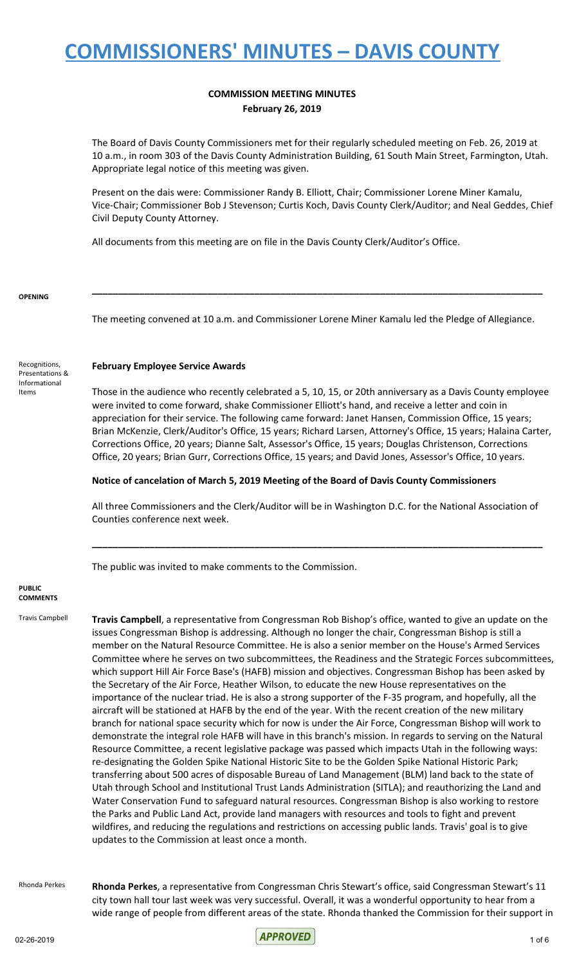### **COMMISSION MEETING MINUTES February 26, 2019**

The Board of Davis County Commissioners met for their regularly scheduled meeting on Feb. 26, 2019 at 10 a.m., in room 303 of the Davis County Administration Building, 61 South Main Street, Farmington, Utah. Appropriate legal notice of this meeting was given.

Present on the dais were: Commissioner Randy B. Elliott, Chair; Commissioner Lorene Miner Kamalu, Vice-Chair; Commissioner Bob J Stevenson; Curtis Koch, Davis County Clerk/Auditor; and Neal Geddes, Chief Civil Deputy County Attorney.

All documents from this meeting are on file in the Davis County Clerk/Auditor's Office.

#### **OPENING**

Recognitions, Presentations & Informational Items

The meeting convened at 10 a.m. and Commissioner Lorene Miner Kamalu led the Pledge of Allegiance.

**\_\_\_\_\_\_\_\_\_\_\_\_\_\_\_\_\_\_\_\_\_\_\_\_\_\_\_\_\_\_\_\_\_\_\_\_\_\_\_\_\_\_\_\_\_\_\_\_\_\_\_\_\_\_\_\_\_\_\_\_\_\_\_\_\_\_\_\_\_\_\_\_\_\_\_\_\_\_\_\_\_\_\_\_\_\_**

#### **February Employee Service Awards**

Those in the audience who recently celebrated a 5, 10, 15, or 20th anniversary as a Davis County employee were invited to come forward, shake Commissioner Elliott's hand, and receive a letter and coin in appreciation for their service. The following came forward: Janet Hansen, Commission Office, 15 years; Brian McKenzie, Clerk/Auditor's Office, 15 years; Richard Larsen, Attorney's Office, 15 years; Halaina Carter, Corrections Office, 20 years; Dianne Salt, Assessor's Office, 15 years; Douglas Christenson, Corrections Office, 20 years; Brian Gurr, Corrections Office, 15 years; and David Jones, Assessor's Office, 10 years.

#### **Notice of cancelation of March 5, 2019 Meeting of the Board of Davis County Commissioners**

All three Commissioners and the Clerk/Auditor will be in Washington D.C. for the National Association of Counties conference next week.

**\_\_\_\_\_\_\_\_\_\_\_\_\_\_\_\_\_\_\_\_\_\_\_\_\_\_\_\_\_\_\_\_\_\_\_\_\_\_\_\_\_\_\_\_\_\_\_\_\_\_\_\_\_\_\_\_\_\_\_\_\_\_\_\_\_\_\_\_\_\_\_\_\_\_\_\_\_\_\_\_\_\_\_\_\_\_**

The public was invited to make comments to the Commission.

#### **PUBLIC COMMENTS**

Travis Campbell **Travis Campbell**, a representative from Congressman Rob Bishop's office, wanted to give an update on the issues Congressman Bishop is addressing. Although no longer the chair, Congressman Bishop is still a member on the Natural Resource Committee. He is also a senior member on the House's Armed Services Committee where he serves on two subcommittees, the Readiness and the Strategic Forces subcommittees, which support Hill Air Force Base's (HAFB) mission and objectives. Congressman Bishop has been asked by the Secretary of the Air Force, Heather Wilson, to educate the new House representatives on the importance of the nuclear triad. He is also a strong supporter of the F-35 program, and hopefully, all the aircraft will be stationed at HAFB by the end of the year. With the recent creation of the new military branch for national space security which for now is under the Air Force, Congressman Bishop will work to demonstrate the integral role HAFB will have in this branch's mission. In regards to serving on the Natural Resource Committee, a recent legislative package was passed which impacts Utah in the following ways: re-designating the Golden Spike National Historic Site to be the Golden Spike National Historic Park; transferring about 500 acres of disposable Bureau of Land Management (BLM) land back to the state of Utah through School and Institutional Trust Lands Administration (SITLA); and reauthorizing the Land and Water Conservation Fund to safeguard natural resources. Congressman Bishop is also working to restore the Parks and Public Land Act, provide land managers with resources and tools to fight and prevent wildfires, and reducing the regulations and restrictions on accessing public lands. Travis' goal is to give updates to the Commission at least once a month.

Rhonda Perkes **Rhonda Perkes**, a representative from Congressman Chris Stewart's office, said Congressman Stewart's 11 city town hall tour last week was very successful. Overall, it was a wonderful opportunity to hear from a wide range of people from different areas of the state. Rhonda thanked the Commission for their support in

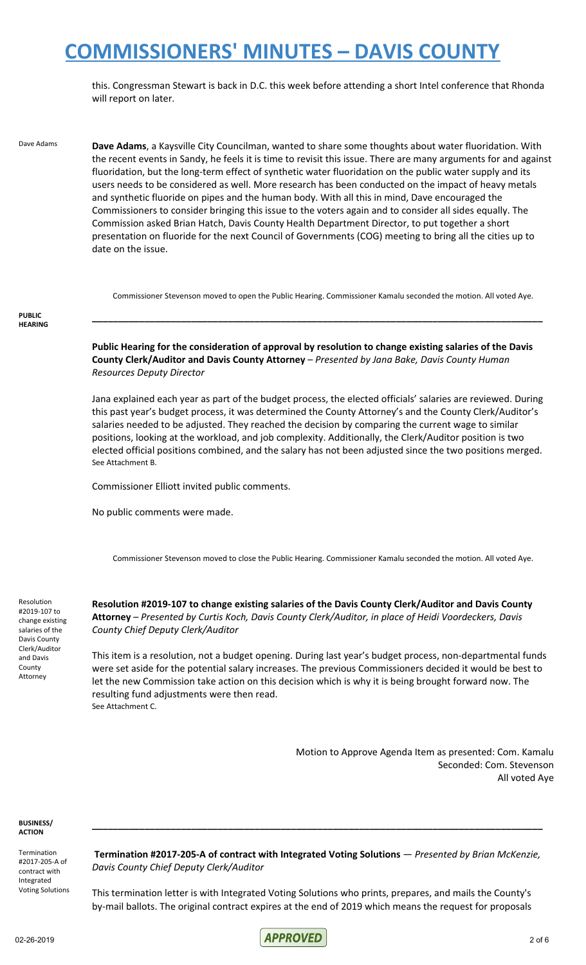this. Congressman Stewart is back in D.C. this week before attending a short Intel conference that Rhonda will report on later.

Dave Adams **Dave Adams**, a Kaysville City Councilman, wanted to share some thoughts about water fluoridation. With the recent events in Sandy, he feels it is time to revisit this issue. There are many arguments for and against fluoridation, but the long-term effect of synthetic water fluoridation on the public water supply and its users needs to be considered as well. More research has been conducted on the impact of heavy metals and synthetic fluoride on pipes and the human body. With all this in mind, Dave encouraged the Commissioners to consider bringing this issue to the voters again and to consider all sides equally. The Commission asked Brian Hatch, Davis County Health Department Director, to put together a short presentation on fluoride for the next Council of Governments (COG) meeting to bring all the cities up to date on the issue.

Commissioner Stevenson moved to open the Public Hearing. Commissioner Kamalu seconded the motion. All voted Aye.

**\_\_\_\_\_\_\_\_\_\_\_\_\_\_\_\_\_\_\_\_\_\_\_\_\_\_\_\_\_\_\_\_\_\_\_\_\_\_\_\_\_\_\_\_\_\_\_\_\_\_\_\_\_\_\_\_\_\_\_\_\_\_\_\_\_\_\_\_\_\_\_\_\_\_\_\_\_\_\_\_\_\_\_\_\_\_**

#### **PUBLIC HEARING**

**Public Hearing for the consideration of approval by resolution to change existing salaries of the Davis County Clerk/Auditor and Davis County Attorney** – *Presented by Jana Bake, Davis County Human Resources Deputy Director*

Jana explained each year as part of the budget process, the elected officials' salaries are reviewed. During this past year's budget process, it was determined the County Attorney's and the County Clerk/Auditor's salaries needed to be adjusted. They reached the decision by comparing the current wage to similar positions, looking at the workload, and job complexity. Additionally, the Clerk/Auditor position is two elected official positions combined, and the salary has not been adjusted since the two positions merged. See Attachment B.

Commissioner Elliott invited public comments.

No public comments were made.

Commissioner Stevenson moved to close the Public Hearing. Commissioner Kamalu seconded the motion. All voted Aye.

Resolution #2019-107 to change existing salaries of the Davis County Clerk/Auditor and Davis County Attorney

**Resolution #2019-107 to change existing salaries of the Davis County Clerk/Auditor and Davis County Attorney** – *Presented by Curtis Koch, Davis County Clerk/Auditor, in place of Heidi Voordeckers, Davis County Chief Deputy Clerk/Auditor*

This item is a resolution, not a budget opening. During last year's budget process, non-departmental funds were set aside for the potential salary increases. The previous Commissioners decided it would be best to let the new Commission take action on this decision which is why it is being brought forward now. The resulting fund adjustments were then read. See Attachment C.

> Motion to Approve Agenda Item as presented: Com. Kamalu Seconded: Com. Stevenson All voted Aye

**BUSINESS/ ACTION**

Termination #2017-205-A of contract with Integrated Voting Solutions

**Termination #2017-205-A of contract with Integrated Voting Solutions** — *Presented by Brian McKenzie, Davis County Chief Deputy Clerk/Auditor*

**\_\_\_\_\_\_\_\_\_\_\_\_\_\_\_\_\_\_\_\_\_\_\_\_\_\_\_\_\_\_\_\_\_\_\_\_\_\_\_\_\_\_\_\_\_\_\_\_\_\_\_\_\_\_\_\_\_\_\_\_\_\_\_\_\_\_\_\_\_\_\_\_\_\_\_\_\_\_\_\_\_\_\_\_\_\_**

This termination letter is with Integrated Voting Solutions who prints, prepares, and mails the County's by-mail ballots. The original contract expires at the end of 2019 which means the request for proposals

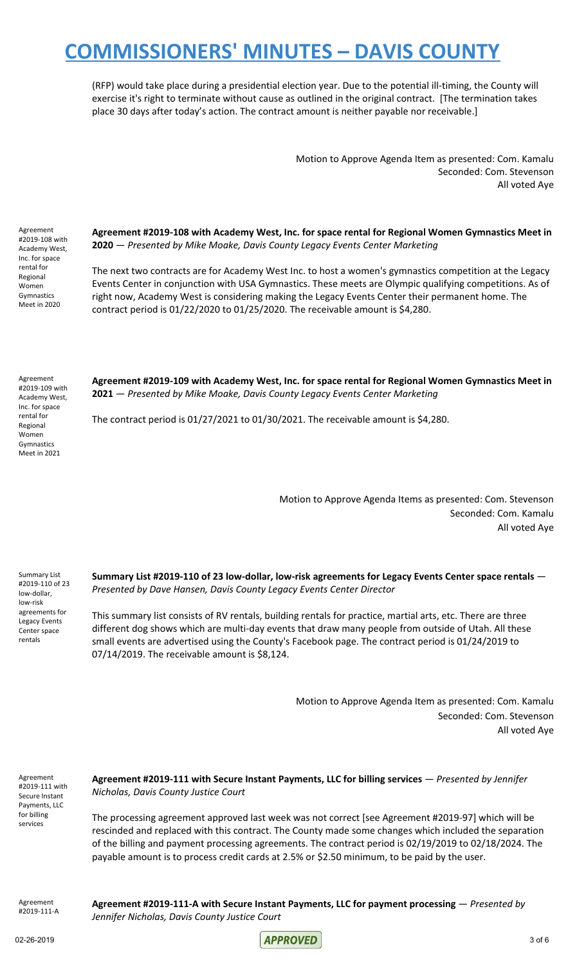(RFP) would take place during a presidential election year. Due to the potential ill-timing, the County will exercise it's right to terminate without cause as outlined in the original contract. [The termination takes place 30 days after today's action. The contract amount is neither payable nor receivable.]

> Motion to Approve Agenda Item as presented: Com. Kamalu Seconded: Com. Stevenson All voted Aye

Agreement #2019-108 with Academy West, Inc. for space rental for Regional Women Gymnastics Meet in 2020

**Agreement #2019-108 with Academy West, Inc. for space rental for Regional Women Gymnastics Meet in 2020** — *Presented by Mike Moake, Davis County Legacy Events Center Marketing*

The next two contracts are for Academy West Inc. to host a women's gymnastics competition at the Legacy Events Center in conjunction with USA Gymnastics. These meets are Olympic qualifying competitions. As of right now, Academy West is considering making the Legacy Events Center their permanent home. The contract period is 01/22/2020 to 01/25/2020. The receivable amount is \$4,280.

Agreement #2019-109 with Academy West, Inc. for space rental for Regional Women Gymnastics Meet in 2021

**Agreement #2019-109 with Academy West, Inc. for space rental for Regional Women Gymnastics Meet in 2021** — *Presented by Mike Moake, Davis County Legacy Events Center Marketing*

The contract period is 01/27/2021 to 01/30/2021. The receivable amount is \$4,280.

Motion to Approve Agenda Items as presented: Com. Stevenson Seconded: Com. Kamalu All voted Aye

Summary List #2019-110 of 23 low-dollar, low-risk agreements for Legacy Events Center space rentals

**Summary List #2019-110 of 23 low-dollar, low-risk agreements for Legacy Events Center space rentals** — *Presented by Dave Hansen, Davis County Legacy Events Center Director*

This summary list consists of RV rentals, building rentals for practice, martial arts, etc. There are three different dog shows which are multi-day events that draw many people from outside of Utah. All these small events are advertised using the County's Facebook page. The contract period is 01/24/2019 to 07/14/2019. The receivable amount is \$8,124.

> Motion to Approve Agenda Item as presented: Com. Kamalu Seconded: Com. Stevenson All voted Aye

Agreement #2019-111 with Secure Instant Payments, LLC for billing services

**Agreement #2019-111 with Secure Instant Payments, LLC for billing services** — *Presented by Jennifer Nicholas, Davis County Justice Court*

The processing agreement approved last week was not correct [see Agreement #2019-97] which will be rescinded and replaced with this contract. The County made some changes which included the separation of the billing and payment processing agreements. The contract period is 02/19/2019 to 02/18/2024. The payable amount is to process credit cards at 2.5% or \$2.50 minimum, to be paid by the user.

Agreement #2019-111-A

**Agreement #2019-111-A with Secure Instant Payments, LLC for payment processing** — *Presented by Jennifer Nicholas, Davis County Justice Court*

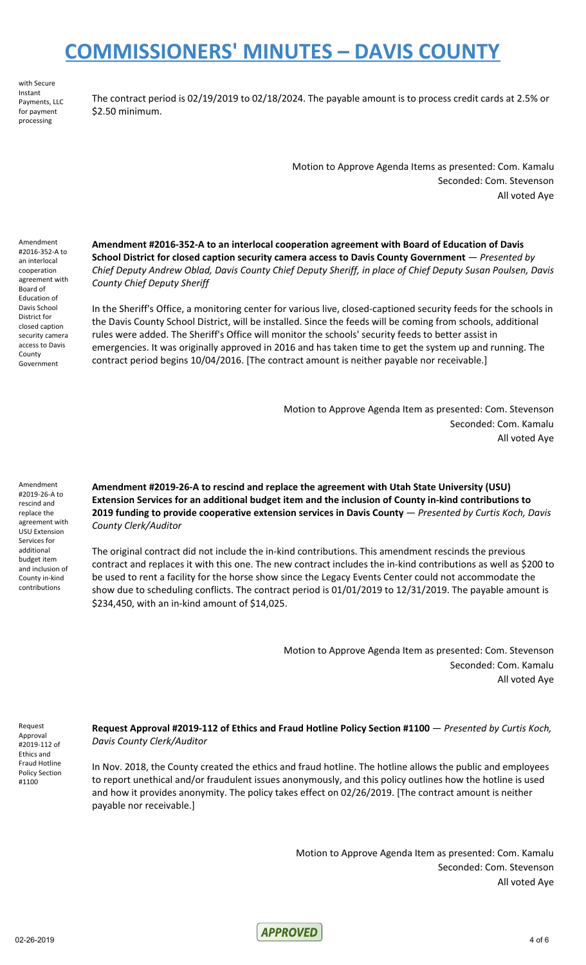with Secure Instant Payments, LLC for payment processing

The contract period is 02/19/2019 to 02/18/2024. The payable amount is to process credit cards at 2.5% or \$2.50 minimum.

> Motion to Approve Agenda Items as presented: Com. Kamalu Seconded: Com. Stevenson All voted Aye

Amendment #2016-352-A to an interlocal cooperation agreement with Board of Education of Davis School District for closed caption security camera access to Davis County Government

**Amendment #2016-352-A to an interlocal cooperation agreement with Board of Education of Davis School District for closed caption security camera access to Davis County Government** — *Presented by* Chief Deputy Andrew Oblad, Davis County Chief Deputy Sheriff, in place of Chief Deputy Susan Poulsen, Davis *County Chief Deputy Sheriff*

In the Sheriff's Office, a monitoring center for various live, closed-captioned security feeds for the schools in the Davis County School District, will be installed. Since the feeds will be coming from schools, additional rules were added. The Sheriff's Office will monitor the schools' security feeds to better assist in emergencies. It was originally approved in 2016 and has taken time to get the system up and running. The contract period begins 10/04/2016. [The contract amount is neither payable nor receivable.]

> Motion to Approve Agenda Item as presented: Com. Stevenson Seconded: Com. Kamalu All voted Aye

Amendment #2019-26-A to rescind and replace the agreement with USU Extension Services for additional budget item and inclusion of County in-kind contributions

**Amendment #2019-26-A to rescind and replace the agreement with Utah State University (USU) Extension Services for an additional budget item and the inclusion of County in-kind contributions to 2019 funding to provide cooperative extension services in Davis County** — *Presented by Curtis Koch, Davis County Clerk/Auditor*

The original contract did not include the in-kind contributions. This amendment rescinds the previous contract and replaces it with this one. The new contract includes the in-kind contributions as well as \$200 to be used to rent a facility for the horse show since the Legacy Events Center could not accommodate the show due to scheduling conflicts. The contract period is 01/01/2019 to 12/31/2019. The payable amount is \$234,450, with an in-kind amount of \$14,025.

> Motion to Approve Agenda Item as presented: Com. Stevenson Seconded: Com. Kamalu All voted Aye

Request Approval #2019-112 of Ethics and Fraud Hotline Policy Section #1100

**Request Approval #2019-112 of Ethics and Fraud Hotline Policy Section #1100** — *Presented by Curtis Koch, Davis County Clerk/Auditor*

In Nov. 2018, the County created the ethics and fraud hotline. The hotline allows the public and employees to report unethical and/or fraudulent issues anonymously, and this policy outlines how the hotline is used and how it provides anonymity. The policy takes effect on 02/26/2019. [The contract amount is neither payable nor receivable.]

**APPROVED** 

Motion to Approve Agenda Item as presented: Com. Kamalu Seconded: Com. Stevenson All voted Aye

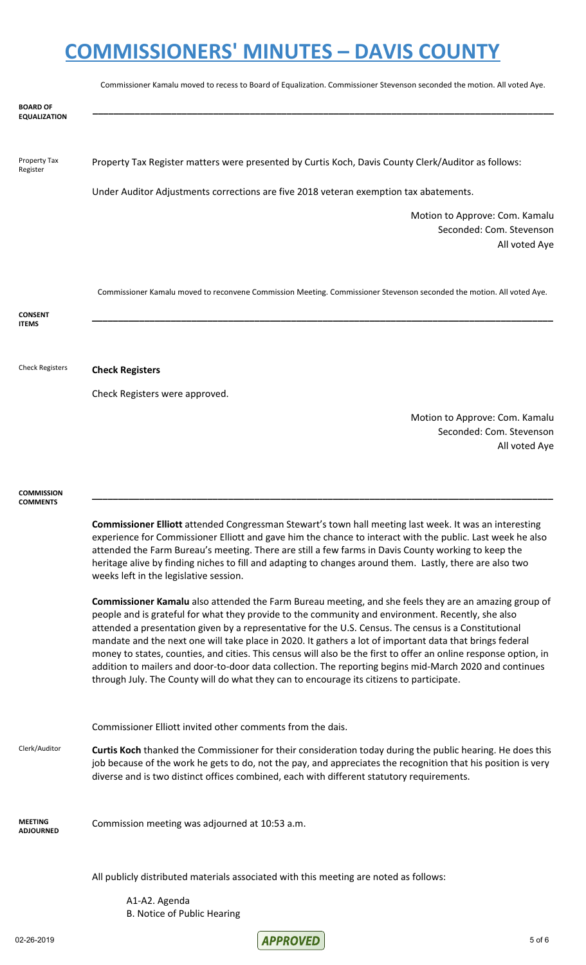|                                        | Commissioner Kamalu moved to recess to Board of Equalization. Commissioner Stevenson seconded the motion. All voted Aye.                                                                                                                                                                                                                                                                                                                                                                                                                                                                                                                                                                                                                                   |
|----------------------------------------|------------------------------------------------------------------------------------------------------------------------------------------------------------------------------------------------------------------------------------------------------------------------------------------------------------------------------------------------------------------------------------------------------------------------------------------------------------------------------------------------------------------------------------------------------------------------------------------------------------------------------------------------------------------------------------------------------------------------------------------------------------|
| <b>BOARD OF</b><br><b>EQUALIZATION</b> |                                                                                                                                                                                                                                                                                                                                                                                                                                                                                                                                                                                                                                                                                                                                                            |
|                                        |                                                                                                                                                                                                                                                                                                                                                                                                                                                                                                                                                                                                                                                                                                                                                            |
| Property Tax<br>Register               | Property Tax Register matters were presented by Curtis Koch, Davis County Clerk/Auditor as follows:                                                                                                                                                                                                                                                                                                                                                                                                                                                                                                                                                                                                                                                        |
|                                        | Under Auditor Adjustments corrections are five 2018 veteran exemption tax abatements.                                                                                                                                                                                                                                                                                                                                                                                                                                                                                                                                                                                                                                                                      |
|                                        | Motion to Approve: Com. Kamalu<br>Seconded: Com. Stevenson<br>All voted Aye                                                                                                                                                                                                                                                                                                                                                                                                                                                                                                                                                                                                                                                                                |
|                                        | Commissioner Kamalu moved to reconvene Commission Meeting. Commissioner Stevenson seconded the motion. All voted Aye.                                                                                                                                                                                                                                                                                                                                                                                                                                                                                                                                                                                                                                      |
| <b>CONSENT</b><br><b>ITEMS</b>         |                                                                                                                                                                                                                                                                                                                                                                                                                                                                                                                                                                                                                                                                                                                                                            |
|                                        |                                                                                                                                                                                                                                                                                                                                                                                                                                                                                                                                                                                                                                                                                                                                                            |
| <b>Check Registers</b>                 | <b>Check Registers</b>                                                                                                                                                                                                                                                                                                                                                                                                                                                                                                                                                                                                                                                                                                                                     |
|                                        | Check Registers were approved.                                                                                                                                                                                                                                                                                                                                                                                                                                                                                                                                                                                                                                                                                                                             |
|                                        | Motion to Approve: Com. Kamalu                                                                                                                                                                                                                                                                                                                                                                                                                                                                                                                                                                                                                                                                                                                             |
|                                        | Seconded: Com. Stevenson<br>All voted Aye                                                                                                                                                                                                                                                                                                                                                                                                                                                                                                                                                                                                                                                                                                                  |
|                                        |                                                                                                                                                                                                                                                                                                                                                                                                                                                                                                                                                                                                                                                                                                                                                            |
| COMMISSION<br><b>COMMENTS</b>          |                                                                                                                                                                                                                                                                                                                                                                                                                                                                                                                                                                                                                                                                                                                                                            |
|                                        | <b>Commissioner Elliott</b> attended Congressman Stewart's town hall meeting last week. It was an interesting<br>experience for Commissioner Elliott and gave him the chance to interact with the public. Last week he also<br>attended the Farm Bureau's meeting. There are still a few farms in Davis County working to keep the<br>heritage alive by finding niches to fill and adapting to changes around them. Lastly, there are also two<br>weeks left in the legislative session.                                                                                                                                                                                                                                                                   |
|                                        | Commissioner Kamalu also attended the Farm Bureau meeting, and she feels they are an amazing group of<br>people and is grateful for what they provide to the community and environment. Recently, she also<br>attended a presentation given by a representative for the U.S. Census. The census is a Constitutional<br>mandate and the next one will take place in 2020. It gathers a lot of important data that brings federal<br>money to states, counties, and cities. This census will also be the first to offer an online response option, in<br>addition to mailers and door-to-door data collection. The reporting begins mid-March 2020 and continues<br>through July. The County will do what they can to encourage its citizens to participate. |
|                                        | Commissioner Elliott invited other comments from the dais.                                                                                                                                                                                                                                                                                                                                                                                                                                                                                                                                                                                                                                                                                                 |
| Clerk/Auditor                          | Curtis Koch thanked the Commissioner for their consideration today during the public hearing. He does this<br>job because of the work he gets to do, not the pay, and appreciates the recognition that his position is very<br>diverse and is two distinct offices combined, each with different statutory requirements.                                                                                                                                                                                                                                                                                                                                                                                                                                   |
| <b>MEETING</b><br><b>ADJOURNED</b>     | Commission meeting was adjourned at 10:53 a.m.                                                                                                                                                                                                                                                                                                                                                                                                                                                                                                                                                                                                                                                                                                             |
|                                        | All publicly distributed materials associated with this meeting are noted as follows:                                                                                                                                                                                                                                                                                                                                                                                                                                                                                                                                                                                                                                                                      |
|                                        | A1-A2. Agenda<br>B. Notice of Public Hearing                                                                                                                                                                                                                                                                                                                                                                                                                                                                                                                                                                                                                                                                                                               |

02-26-2019 5 of 6